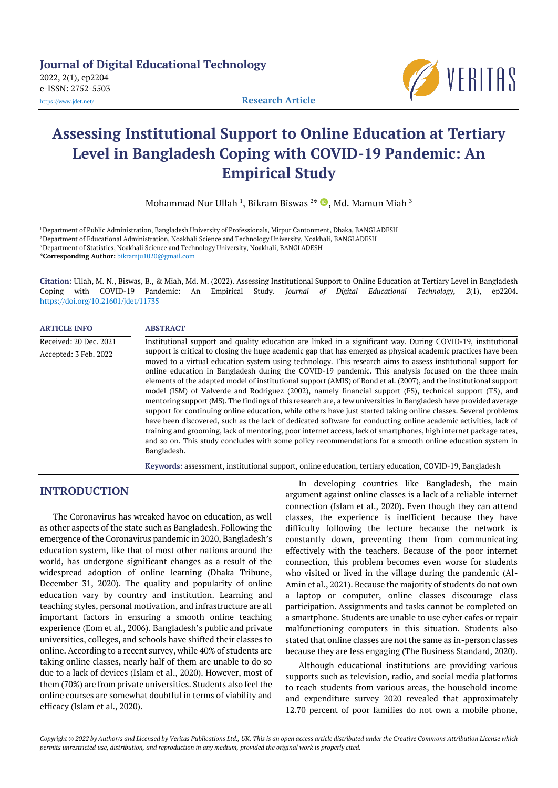**Journal of Digital Educational Technology** 2022, 2(1), ep2204 e-ISSN: 2752-5503 <https://www.jdet.net/> **Research Article**



# **Assessing Institutional Support to Online Education at Tertiary Level in Bangladesh Coping with COVID-19 Pandemic: An Empirical Study**

Mohammad Nur Ullah  $^1$ , Bikram Biswas  $^{2*}$   $\textcolor{red}{\bullet}$ , Md. Mamun Miah  $^3$ 

 Department of Public Administration, Bangladesh University of Professionals, Mirpur Cantonment, Dhaka, BANGLADESH Department of Educational Administration, Noakhali Science and Technology University, Noakhali, BANGLADESH Department of Statistics, Noakhali Science and Technology University, Noakhali, BANGLADESH \***Corresponding Author:** [bikramju1020@gmail.com](mailto:bikramju1020@gmail.com)

**Citation:** Ullah, M. N., Biswas, B., & Miah, Md. M. (2022). Assessing Institutional Support to Online Education at Tertiary Level in Bangladesh Coping with COVID-19 Pandemic: An Empirical Study. *Journal of Digital Educational Technology, 2*(1), ep2204. <https://doi.org/10.21601/jdet/11735>

| <b>ARTICLE INFO</b>    | <b>ABSTRACT</b>                                                                                                                                                                                                                                                                                                                                                                                                                                                                                                                                                                                                                                                                                                                                                                                                                                                                                                                                                                                                                                                                                                                                                                     |
|------------------------|-------------------------------------------------------------------------------------------------------------------------------------------------------------------------------------------------------------------------------------------------------------------------------------------------------------------------------------------------------------------------------------------------------------------------------------------------------------------------------------------------------------------------------------------------------------------------------------------------------------------------------------------------------------------------------------------------------------------------------------------------------------------------------------------------------------------------------------------------------------------------------------------------------------------------------------------------------------------------------------------------------------------------------------------------------------------------------------------------------------------------------------------------------------------------------------|
| Received: 20 Dec. 2021 | Institutional support and quality education are linked in a significant way. During COVID-19, institutional                                                                                                                                                                                                                                                                                                                                                                                                                                                                                                                                                                                                                                                                                                                                                                                                                                                                                                                                                                                                                                                                         |
| Accepted: 3 Feb. 2022  | support is critical to closing the huge academic gap that has emerged as physical academic practices have been<br>moved to a virtual education system using technology. This research aims to assess institutional support for<br>online education in Bangladesh during the COVID-19 pandemic. This analysis focused on the three main<br>elements of the adapted model of institutional support (AMIS) of Bond et al. (2007), and the institutional support<br>model (ISM) of Valverde and Rodriguez (2002), namely financial support (FS), technical support (TS), and<br>mentoring support (MS). The findings of this research are, a few universities in Bangladesh have provided average<br>support for continuing online education, while others have just started taking online classes. Several problems<br>have been discovered, such as the lack of dedicated software for conducting online academic activities, lack of<br>training and grooming, lack of mentoring, poor internet access, lack of smartphones, high internet package rates,<br>and so on. This study concludes with some policy recommendations for a smooth online education system in<br>Bangladesh. |

**Keywords:** assessment, institutional support, online education, tertiary education, COVID-19, Bangladesh

# **INTRODUCTION**

The Coronavirus has wreaked havoc on education, as well as other aspects of the state such as Bangladesh. Following the emergence of the Coronavirus pandemic in 2020, Bangladesh's education system, like that of most other nations around the world, has undergone significant changes as a result of the widespread adoption of online learning (Dhaka Tribune, December 31, 2020). The quality and popularity of online education vary by country and institution. Learning and teaching styles, personal motivation, and infrastructure are all important factors in ensuring a smooth online teaching experience (Eom et al., 2006). Bangladesh's public and private universities, colleges, and schools have shifted their classes to online. According to a recent survey, while 40% of students are taking online classes, nearly half of them are unable to do so due to a lack of devices (Islam et al., 2020). However, most of them (70%) are from private universities. Students also feel the online courses are somewhat doubtful in terms of viability and efficacy (Islam et al., 2020).

In developing countries like Bangladesh, the main argument against online classes is a lack of a reliable internet connection (Islam et al., 2020). Even though they can attend classes, the experience is inefficient because they have difficulty following the lecture because the network is constantly down, preventing them from communicating effectively with the teachers. Because of the poor internet connection, this problem becomes even worse for students who visited or lived in the village during the pandemic (Al-Amin et al., 2021). Because the majority of students do not own a laptop or computer, online classes discourage class participation. Assignments and tasks cannot be completed on a smartphone. Students are unable to use cyber cafes or repair malfunctioning computers in this situation. Students also stated that online classes are not the same as in-person classes because they are less engaging (The Business Standard, 2020).

Although educational institutions are providing various supports such as television, radio, and social media platforms to reach students from various areas, the household income and expenditure survey 2020 revealed that approximately 12.70 percent of poor families do not own a mobile phone,

*Copyright © 2022 by Author/s and Licensed by Veritas Publications Ltd., UK. This is an open access article distributed under the Creative Commons Attribution License which permits unrestricted use, distribution, and reproduction in any medium, provided the original work is properly cited.*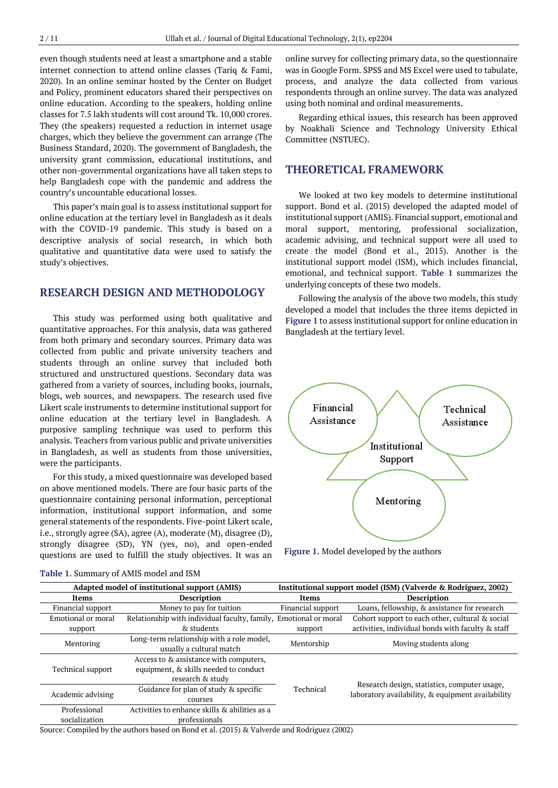even though students need at least a smartphone and a stable internet connection to attend online classes (Tariq & Fami, 2020). In an online seminar hosted by the Center on Budget and Policy, prominent educators shared their perspectives on online education. According to the speakers, holding online classes for 7.5 lakh students will cost around Tk. 10,000 crores. They (the speakers) requested a reduction in internet usage charges, which they believe the government can arrange (The Business Standard, 2020). The government of Bangladesh, the university grant commission, educational institutions, and other non-governmental organizations have all taken steps to help Bangladesh cope with the pandemic and address the country's uncountable educational losses.

This paper's main goal is to assess institutional support for online education at the tertiary level in Bangladesh as it deals with the COVID-19 pandemic. This study is based on a descriptive analysis of social research, in which both qualitative and quantitative data were used to satisfy the study's objectives.

# **RESEARCH DESIGN AND METHODOLOGY**

This study was performed using both qualitative and quantitative approaches. For this analysis, data was gathered from both primary and secondary sources. Primary data was collected from public and private university teachers and students through an online survey that included both structured and unstructured questions. Secondary data was gathered from a variety of sources, including books, journals, blogs, web sources, and newspapers. The research used five Likert scale instruments to determine institutional support for online education at the tertiary level in Bangladesh. A purposive sampling technique was used to perform this analysis. Teachers from various public and private universities in Bangladesh, as well as students from those universities, were the participants.

For this study, a mixed questionnaire was developed based on above mentioned models. There are four basic parts of the questionnaire containing personal information, perceptional information, institutional support information, and some general statements of the respondents. Five-point Likert scale, i.e., strongly agree (SA), agree (A), moderate (M), disagree (D), strongly disagree (SD), YN (yes, no), and open-ended questions are used to fulfill the study objectives. It was an

online survey for collecting primary data, so the questionnaire was in Google Form. SPSS and MS Excel were used to tabulate, process, and analyze the data collected from various respondents through an online survey. The data was analyzed using both nominal and ordinal measurements.

Regarding ethical issues, this research has been approved by Noakhali Science and Technology University Ethical Committee (NSTUEC).

# **THEORETICAL FRAMEWORK**

We looked at two key models to determine institutional support. Bond et al. (2015) developed the adapted model of institutional support (AMIS). Financial support, emotional and moral support, mentoring, professional socialization, academic advising, and technical support were all used to create the model (Bond et al., 2015). Another is the institutional support model (ISM), which includes financial, emotional, and technical support. **Table 1** summarizes the underlying concepts of these two models.

Following the analysis of the above two models, this study developed a model that includes the three items depicted in **Figure 1** to assess institutional support for online education in Bangladesh at the tertiary level.



**Figure 1.** Model developed by the authors

| Adapted model of institutional support (AMIS)                                                                            |                                                                       |                   | Institutional support model (ISM) (Valverde & Rodriguez, 2002)                                    |  |
|--------------------------------------------------------------------------------------------------------------------------|-----------------------------------------------------------------------|-------------------|---------------------------------------------------------------------------------------------------|--|
| Items                                                                                                                    | <b>Description</b>                                                    | Items             | <b>Description</b>                                                                                |  |
| Financial support                                                                                                        | Money to pay for tuition                                              | Financial support | Loans, fellowship, & assistance for research                                                      |  |
| Emotional or moral                                                                                                       | Relationship with individual faculty, family, Emotional or moral      |                   | Cohort support to each other, cultural & social                                                   |  |
| support                                                                                                                  | & students                                                            | support           | activities, individual bonds with faculty & staff                                                 |  |
| Mentoring                                                                                                                | Long-term relationship with a role model,<br>usually a cultural match | Mentorship        | Moving students along                                                                             |  |
| Access to & assistance with computers,<br>equipment, & skills needed to conduct<br>Technical support<br>research & study |                                                                       |                   |                                                                                                   |  |
| Academic advising                                                                                                        | Guidance for plan of study & specific<br>courses                      | Technical         | Research design, statistics, computer usage,<br>laboratory availability, & equipment availability |  |
| Activities to enhance skills & abilities as a<br>Professional<br>socialization<br>professionals                          |                                                                       |                   |                                                                                                   |  |

#### **Table 1.** Summary of AMIS model and ISM

Source: Compiled by the authors based on Bond et al. (2015) & Valverde and Rodriguez (2002)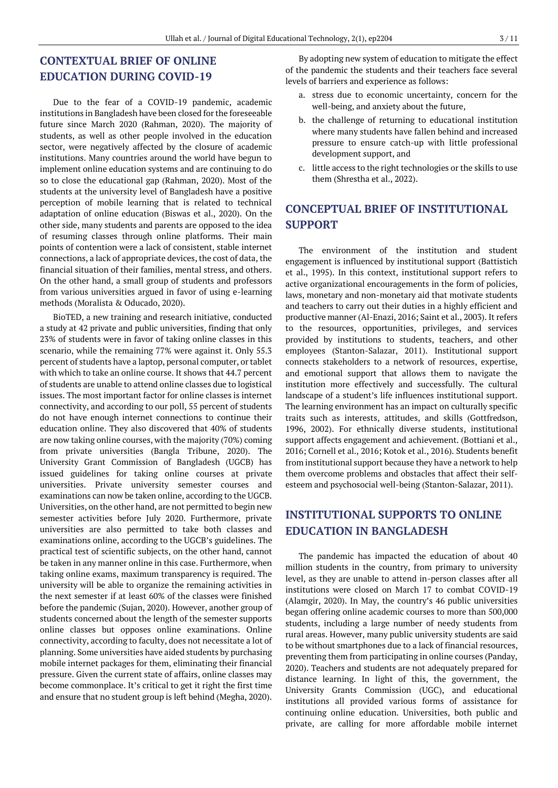# **CONTEXTUAL BRIEF OF ONLINE EDUCATION DURING COVID-19**

Due to the fear of a COVID-19 pandemic, academic institutions in Bangladesh have been closed for the foreseeable future since March 2020 (Rahman, 2020). The majority of students, as well as other people involved in the education sector, were negatively affected by the closure of academic institutions. Many countries around the world have begun to implement online education systems and are continuing to do so to close the educational gap (Rahman, 2020). Most of the students at the university level of Bangladesh have a positive perception of mobile learning that is related to technical adaptation of online education (Biswas et al., 2020). On the other side, many students and parents are opposed to the idea of resuming classes through online platforms. Their main points of contention were a lack of consistent, stable internet connections, a lack of appropriate devices, the cost of data, the financial situation of their families, mental stress, and others. On the other hand, a small group of students and professors from various universities argued in favor of using e-learning methods (Moralista & Oducado, 2020).

BioTED, a new training and research initiative, conducted a study at 42 private and public universities, finding that only 23% of students were in favor of taking online classes in this scenario, while the remaining 77% were against it. Only 55.3 percent of students have a laptop, personal computer, or tablet with which to take an online course. It shows that 44.7 percent of students are unable to attend online classes due to logistical issues. The most important factor for online classes is internet connectivity, and according to our poll, 55 percent of students do not have enough internet connections to continue their education online. They also discovered that 40% of students are now taking online courses, with the majority (70%) coming from private universities (Bangla Tribune, 2020). The University Grant Commission of Bangladesh (UGCB) has issued guidelines for taking online courses at private universities. Private university semester courses and examinations can now be taken online, according to the UGCB. Universities, on the other hand, are not permitted to begin new semester activities before July 2020. Furthermore, private universities are also permitted to take both classes and examinations online, according to the UGCB's guidelines. The practical test of scientific subjects, on the other hand, cannot be taken in any manner online in this case. Furthermore, when taking online exams, maximum transparency is required. The university will be able to organize the remaining activities in the next semester if at least 60% of the classes were finished before the pandemic (Sujan, 2020). However, another group of students concerned about the length of the semester supports online classes but opposes online examinations. Online connectivity, according to faculty, does not necessitate a lot of planning. Some universities have aided students by purchasing mobile internet packages for them, eliminating their financial pressure. Given the current state of affairs, online classes may become commonplace. It's critical to get it right the first time and ensure that no student group is left behind (Megha, 2020).

By adopting new system of education to mitigate the effect of the pandemic the students and their teachers face several levels of barriers and experience as follows:

- a. stress due to economic uncertainty, concern for the well-being, and anxiety about the future,
- b. the challenge of returning to educational institution where many students have fallen behind and increased pressure to ensure catch-up with little professional development support, and
- c. little access to the right technologies or the skills to use them (Shrestha et al., 2022).

# **CONCEPTUAL BRIEF OF INSTITUTIONAL SUPPORT**

The environment of the institution and student engagement is influenced by institutional support (Battistich et al., 1995). In this context, institutional support refers to active organizational encouragements in the form of policies, laws, monetary and non-monetary aid that motivate students and teachers to carry out their duties in a highly efficient and productive manner (Al-Enazi, 2016; Saint et al., 2003). It refers to the resources, opportunities, privileges, and services provided by institutions to students, teachers, and other employees (Stanton-Salazar, 2011). Institutional support connects stakeholders to a network of resources, expertise, and emotional support that allows them to navigate the institution more effectively and successfully. The cultural landscape of a student's life influences institutional support. The learning environment has an impact on culturally specific traits such as interests, attitudes, and skills (Gottfredson, 1996, 2002). For ethnically diverse students, institutional support affects engagement and achievement. (Bottiani et al., 2016; Cornell et al., 2016; Kotok et al., 2016). Students benefit from institutional support because they have a network to help them overcome problems and obstacles that affect their selfesteem and psychosocial well-being (Stanton-Salazar, 2011).

# **INSTITUTIONAL SUPPORTS TO ONLINE EDUCATION IN BANGLADESH**

The pandemic has impacted the education of about 40 million students in the country, from primary to university level, as they are unable to attend in-person classes after all institutions were closed on March 17 to combat COVID-19 (Alamgir, 2020). In May, the country's 46 public universities began offering online academic courses to more than 500,000 students, including a large number of needy students from rural areas. However, many public university students are said to be without smartphones due to a lack of financial resources, preventing them from participating in online courses (Panday, 2020). Teachers and students are not adequately prepared for distance learning. In light of this, the government, the University Grants Commission (UGC), and educational institutions all provided various forms of assistance for continuing online education. Universities, both public and private, are calling for more affordable mobile internet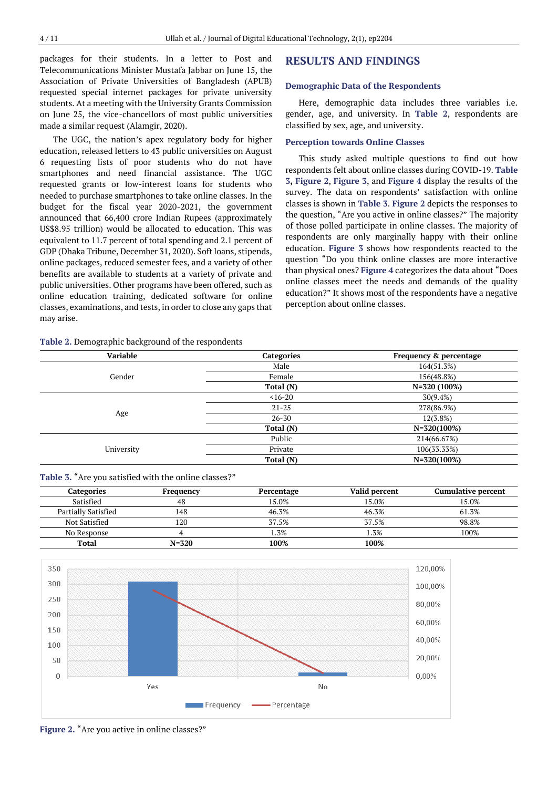packages for their students. In a letter to Post and Telecommunications Minister Mustafa Jabbar on June 15, the Association of Private Universities of Bangladesh (APUB) requested special internet packages for private university students. At a meeting with the University Grants Commission on June 25, the vice-chancellors of most public universities made a similar request (Alamgir, 2020).

The UGC, the nation's apex regulatory body for higher education, released letters to 43 public universities on August 6 requesting lists of poor students who do not have smartphones and need financial assistance. The UGC requested grants or low-interest loans for students who needed to purchase smartphones to take online classes. In the budget for the fiscal year 2020-2021, the government announced that 66,400 crore Indian Rupees (approximately US\$8.95 trillion) would be allocated to education. This was equivalent to 11.7 percent of total spending and 2.1 percent of GDP (Dhaka Tribune, December 31, 2020). Soft loans, stipends, online packages, reduced semester fees, and a variety of other benefits are available to students at a variety of private and public universities. Other programs have been offered, such as online education training, dedicated software for online classes, examinations, and tests, in order to close any gaps that may arise.

#### **Table 2.** Demographic background of the respondents

#### **RESULTS AND FINDINGS**

#### **Demographic Data of the Respondents**

Here, demographic data includes three variables i.e. gender, age, and university. In **Table 2**, respondents are classified by sex, age, and university.

### **Perception towards Online Classes**

This study asked multiple questions to find out how respondents felt about online classes during COVID-19. **Table 3, Figure 2**, **Figure 3**, and **Figure 4** display the results of the survey. The data on respondents' satisfaction with online classes is shown in **Table 3**. **Figure 2** depicts the responses to the question, "Are you active in online classes?" The majority of those polled participate in online classes. The majority of respondents are only marginally happy with their online education. **Figure 3** shows how respondents reacted to the question "Do you think online classes are more interactive than physical ones? **Figure 4** categorizes the data about "Does online classes meet the needs and demands of the quality education?" It shows most of the respondents have a negative perception about online classes.

| <b>Variable</b> | <b>Categories</b> | Frequency & percentage |
|-----------------|-------------------|------------------------|
|                 | Male              | 164(51.3%)             |
| Gender          | Female            | 156(48.8%)             |
|                 | Total (N)         | $N=320(100\%)$         |
|                 | $< 16 - 20$       | 30(9.4%)               |
|                 | $21 - 25$         | 278(86.9%)             |
| Age             | $26 - 30$         | 12(3.8%)               |
|                 | Total (N)         | $N=320(100\%)$         |
|                 | Public            | 214(66.67%)            |
| University      | Private           | 106(33.33%)            |
|                 | Total (N)         | $N=320(100\%)$         |
|                 |                   |                        |

**Table 3.** "Are you satisfied with the online classes?"

| <b>Categories</b>   | Frequency | Percentage | Valid percent | <b>Cumulative percent</b> |
|---------------------|-----------|------------|---------------|---------------------------|
| Satisfied           | 48        | 15.0%      | 15.0%         | 15.0%                     |
| Partially Satisfied | 148       | 46.3%      | 46.3%         | 61.3%                     |
| Not Satisfied       | 120       | 37.5%      | 37.5%         | 98.8%                     |
| No Response         |           | .3%        | 1.3%          | 100%                      |
| Total               | $N = 320$ | 100%       | 100%          |                           |



**Figure 2.** "Are you active in online classes?"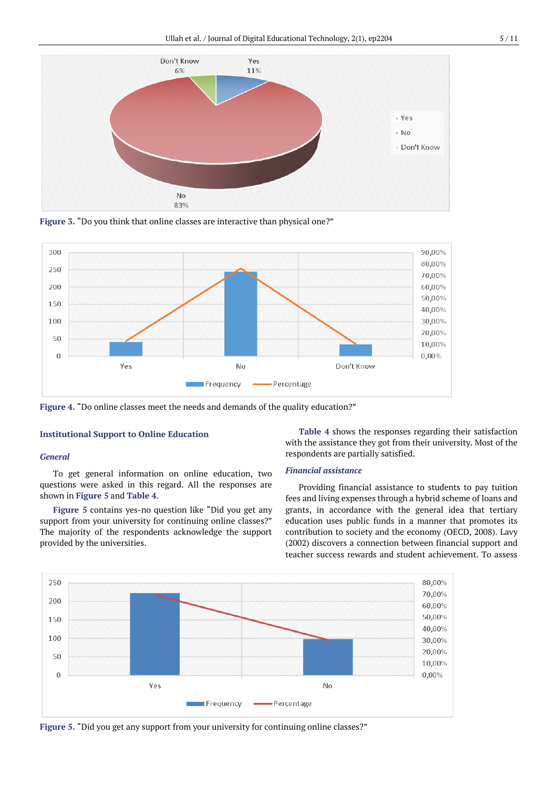

**Figure 3.** "Do you think that online classes are interactive than physical one?"



**Figure 4.** "Do online classes meet the needs and demands of the quality education?"

### **Institutional Support to Online Education**

#### *General*

To get general information on online education, two questions were asked in this regard. All the responses are shown in **Figure 5** and **Table 4**.

**Figure 5** contains yes-no question like "Did you get any support from your university for continuing online classes?" The majority of the respondents acknowledge the support provided by the universities.

**Table 4** shows the responses regarding their satisfaction with the assistance they got from their university. Most of the respondents are partially satisfied.

### *Financial assistance*

Providing financial assistance to students to pay tuition fees and living expenses through a hybrid scheme of loans and grants, in accordance with the general idea that tertiary education uses public funds in a manner that promotes its contribution to society and the economy (OECD, 2008). Lavy (2002) discovers a connection between financial support and teacher success rewards and student achievement. To assess



**Figure 5.** "Did you get any support from your university for continuing online classes?"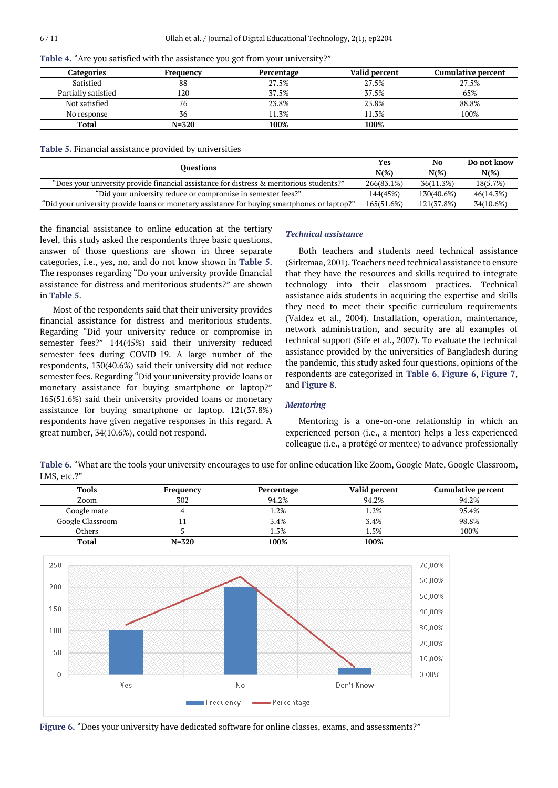**Table 4.** "Are you satisfied with the assistance you got from your university?"

| Categories          | Frequency | Percentage | Valid percent | <b>Cumulative percent</b> |
|---------------------|-----------|------------|---------------|---------------------------|
| Satisfied           | 88        | 27.5%      | 27.5%         | 27.5%                     |
| Partially satisfied | 120       | 37.5%      | 37.5%         | 65%                       |
| Not satisfied       | 76        | 23.8%      | 23.8%         | 88.8%                     |
| No response         | 36        | 11.3%      | 11.3%         | 100%                      |
| Total               | $N = 320$ | 100%       | 100%          |                           |

#### **Table 5.** Financial assistance provided by universities

| <b>Ouestions</b>                                                                             |            | No         | Do not know |
|----------------------------------------------------------------------------------------------|------------|------------|-------------|
|                                                                                              | $N(\%)$    | $N(\%)$    | $N(\%)$     |
| "Does your university provide financial assistance for distress & meritorious students?"     | 266(83.1%) | 36(11.3%)  | 18(5.7%)    |
| "Did your university reduce or compromise in semester fees?"                                 | 144(45%)   | 130(40.6%) | 46(14.3%)   |
| "Did your university provide loans or monetary assistance for buying smartphones or laptop?" | 165(51.6%) | 121(37.8%) | 34(10.6%)   |

the financial assistance to online education at the tertiary level, this study asked the respondents three basic questions, answer of those questions are shown in three separate categories, i.e., yes, no, and do not know shown in **Table 5**. The responses regarding "Do your university provide financial assistance for distress and meritorious students?" are shown in **Table 5**.

Most of the respondents said that their university provides financial assistance for distress and meritorious students. Regarding "Did your university reduce or compromise in semester fees?" 144(45%) said their university reduced semester fees during COVID-19. A large number of the respondents, 130(40.6%) said their university did not reduce semester fees. Regarding "Did your university provide loans or monetary assistance for buying smartphone or laptop?" 165(51.6%) said their university provided loans or monetary assistance for buying smartphone or laptop. 121(37.8%) respondents have given negative responses in this regard. A great number, 34(10.6%), could not respond.

#### *Technical assistance*

Both teachers and students need technical assistance (Sirkemaa, 2001). Teachers need technical assistance to ensure that they have the resources and skills required to integrate technology into their classroom practices. Technical assistance aids students in acquiring the expertise and skills they need to meet their specific curriculum requirements (Valdez et al., 2004). Installation, operation, maintenance, network administration, and security are all examples of technical support (Sife et al., 2007). To evaluate the technical assistance provided by the universities of Bangladesh during the pandemic, this study asked four questions, opinions of the respondents are categorized in **Table 6**, **Figure 6**, **Figure 7**, and **Figure 8**.

### *Mentoring*

Mentoring is a one-on-one relationship in which an experienced person (i.e., a mentor) helps a less experienced colleague (i.e., a protégé or mentee) to advance professionally

**Table 6.** "What are the tools your university encourages to use for online education like Zoom, Google Mate, Google Classroom, LMS, etc.?"

| <b>Tools</b>     | Frequency | Percentage | Valid percent | <b>Cumulative percent</b> |
|------------------|-----------|------------|---------------|---------------------------|
| Zoom             | 302       | 94.2%      | 94.2%         | 94.2%                     |
| Google mate      |           | .2%        | 1.2%          | 95.4%                     |
| Google Classroom |           | 3.4%       | 3.4%          | 98.8%                     |
| Others           |           | . . 5%     | 1.5%          | 100%                      |
| <b>Total</b>     | $N = 320$ | 100%       | 100%          |                           |



**Figure 6.** "Does your university have dedicated software for online classes, exams, and assessments?"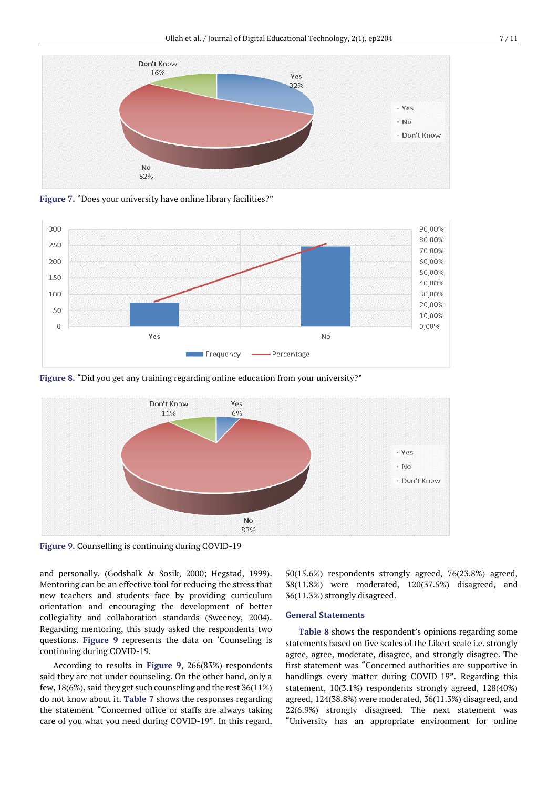

**Figure 7.** "Does your university have online library facilities?"



**Figure 8.** "Did you get any training regarding online education from your university?"



**Figure 9.** Counselling is continuing during COVID-19

and personally. (Godshalk & Sosik, 2000; Hegstad, 1999). Mentoring can be an effective tool for reducing the stress that new teachers and students face by providing curriculum orientation and encouraging the development of better collegiality and collaboration standards (Sweeney, 2004). Regarding mentoring, this study asked the respondents two questions. **Figure 9** represents the data on 'Counseling is continuing during COVID-19.

According to results in **Figure 9**, 266(83%) respondents said they are not under counseling. On the other hand, only a few, 18(6%), said they get such counseling and the rest 36(11%) do not know about it. **Table 7** shows the responses regarding the statement "Concerned office or staffs are always taking care of you what you need during COVID-19". In this regard, 50(15.6%) respondents strongly agreed, 76(23.8%) agreed, 38(11.8%) were moderated, 120(37.5%) disagreed, and 36(11.3%) strongly disagreed.

#### **General Statements**

**Table 8** shows the respondent's opinions regarding some statements based on five scales of the Likert scale i.e. strongly agree, agree, moderate, disagree, and strongly disagree. The first statement was "Concerned authorities are supportive in handlings every matter during COVID-19". Regarding this statement, 10(3.1%) respondents strongly agreed, 128(40%) agreed, 124(38.8%) were moderated, 36(11.3%) disagreed, and 22(6.9%) strongly disagreed. The next statement was "University has an appropriate environment for online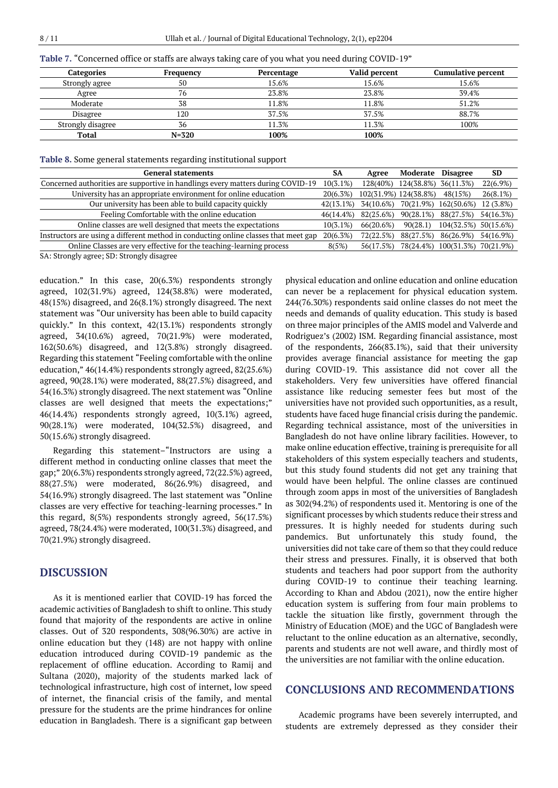|  |  |  |  |  | Table 7. "Concerned office or staffs are always taking care of you what you need during COVID-19" |
|--|--|--|--|--|---------------------------------------------------------------------------------------------------|
|--|--|--|--|--|---------------------------------------------------------------------------------------------------|

| <b>Categories</b> | Freauency | Percentage | Valid percent | <b>Cumulative percent</b> |
|-------------------|-----------|------------|---------------|---------------------------|
| Strongly agree    | 50        | 15.6%      | 15.6%         | 15.6%                     |
| Agree             | 76        | 23.8%      | 23.8%         | 39.4%                     |
| Moderate          | 38        | 11.8%      | 11.8%         | 51.2%                     |
| Disagree          | 120       | 37.5%      | 37.5%         | 88.7%                     |
| Strongly disagree | 36        | 11.3%      | 11.3%         | 100%                      |
| Total             | $N = 320$ | 100%       | 100%          |                           |

**Table 8.** Some general statements regarding institutional support

| <b>General statements</b>                                                                                                                                                                                                      | SA          | Agree     | Moderate              | <b>Disagree</b>                | SD        |
|--------------------------------------------------------------------------------------------------------------------------------------------------------------------------------------------------------------------------------|-------------|-----------|-----------------------|--------------------------------|-----------|
| Concerned authorities are supportive in handlings every matters during COVID-19                                                                                                                                                | $10(3.1\%)$ | 128(40%)  | 124(38.8%)            | 36(11.3%)                      | 22(6.9%)  |
| University has an appropriate environment for online education                                                                                                                                                                 | 20(6.3%)    |           | 102(31.9%) 124(38.8%) | 48(15%)                        | 26(8.1%)  |
| Our university has been able to build capacity quickly                                                                                                                                                                         | 42(13.1%)   | 34(10.6%) | 70(21.9%)             | 162(50.6%)                     | 12 (3.8%) |
| Feeling Comfortable with the online education                                                                                                                                                                                  | 46(14.4%)   | 82(25.6%) | 90(28.1%)             | 88(27.5%)                      | 54(16.3%) |
| Online classes are well designed that meets the expectations                                                                                                                                                                   | $10(3.1\%)$ | 66(20.6%) | 90(28.1)              | 104(32.5%)                     | 50(15.6%) |
| Instructors are using a different method in conducting online classes that meet gap                                                                                                                                            | 20(6.3%)    | 72(22.5%) | 88(27.5%)             | 86(26.9%)                      | 54(16.9%) |
| Online Classes are very effective for the teaching-learning process                                                                                                                                                            | 8(5%)       | 56(17.5%) |                       | 78(24.4%) 100(31.3%) 70(21.9%) |           |
| $0.1.01$ . $0.01.01$ . $0.01.01$ . $0.01.01$ . $0.01.01$ . $0.01.01$ . $0.01.01$ . $0.01.01$ . $0.01.01$ . $0.01.01$ . $0.01.01$ . $0.01.01$ . $0.01.01$ . $0.01.01$ . $0.01.01$ . $0.01.01$ . $0.01.01$ . $0.01.01$ . $0.01.$ |             |           |                       |                                |           |

SA: Strongly agree; SD: Strongly disagree

education." In this case, 20(6.3%) respondents strongly agreed, 102(31.9%) agreed, 124(38.8%) were moderated, 48(15%) disagreed, and 26(8.1%) strongly disagreed. The next statement was "Our university has been able to build capacity quickly." In this context, 42(13.1%) respondents strongly agreed, 34(10.6%) agreed, 70(21.9%) were moderated, 162(50.6%) disagreed, and 12(3.8%) strongly disagreed. Regarding this statement "Feeling comfortable with the online education," 46(14.4%) respondents strongly agreed, 82(25.6%) agreed, 90(28.1%) were moderated, 88(27.5%) disagreed, and 54(16.3%) strongly disagreed. The next statement was "Online classes are well designed that meets the expectations;" 46(14.4%) respondents strongly agreed, 10(3.1%) agreed, 90(28.1%) were moderated, 104(32.5%) disagreed, and 50(15.6%) strongly disagreed.

Regarding this statement–"Instructors are using a different method in conducting online classes that meet the gap;" 20(6.3%) respondents strongly agreed, 72(22.5%) agreed, 88(27.5%) were moderated, 86(26.9%) disagreed, and 54(16.9%) strongly disagreed. The last statement was "Online classes are very effective for teaching-learning processes." In this regard, 8(5%) respondents strongly agreed, 56(17.5%) agreed, 78(24.4%) were moderated, 100(31.3%) disagreed, and 70(21.9%) strongly disagreed.

## **DISCUSSION**

As it is mentioned earlier that COVID-19 has forced the academic activities of Bangladesh to shift to online. This study found that majority of the respondents are active in online classes. Out of 320 respondents, 308(96.30%) are active in online education but they (148) are not happy with online education introduced during COVID-19 pandemic as the replacement of offline education. According to Ramij and Sultana (2020), majority of the students marked lack of technological infrastructure, high cost of internet, low speed of internet, the financial crisis of the family, and mental pressure for the students are the prime hindrances for online education in Bangladesh. There is a significant gap between physical education and online education and online education can never be a replacement for physical education system. 244(76.30%) respondents said online classes do not meet the needs and demands of quality education. This study is based on three major principles of the AMIS model and Valverde and Rodriguez's (2002) ISM. Regarding financial assistance, most of the respondents, 266(83.1%), said that their university provides average financial assistance for meeting the gap during COVID-19. This assistance did not cover all the stakeholders. Very few universities have offered financial assistance like reducing semester fees but most of the universities have not provided such opportunities, as a result, students have faced huge financial crisis during the pandemic. Regarding technical assistance, most of the universities in Bangladesh do not have online library facilities. However, to make online education effective, training is prerequisite for all stakeholders of this system especially teachers and students, but this study found students did not get any training that would have been helpful. The online classes are continued through zoom apps in most of the universities of Bangladesh as 302(94.2%) of respondents used it. Mentoring is one of the significant processes by which students reduce their stress and pressures. It is highly needed for students during such pandemics. But unfortunately this study found, the universities did not take care of them so that they could reduce their stress and pressures. Finally, it is observed that both students and teachers had poor support from the authority during COVID-19 to continue their teaching learning. According to Khan and Abdou (2021), now the entire higher education system is suffering from four main problems to tackle the situation like firstly, government through the Ministry of Education (MOE) and the UGC of Bangladesh were reluctant to the online education as an alternative, secondly, parents and students are not well aware, and thirdly most of the universities are not familiar with the online education.

### **CONCLUSIONS AND RECOMMENDATIONS**

Academic programs have been severely interrupted, and students are extremely depressed as they consider their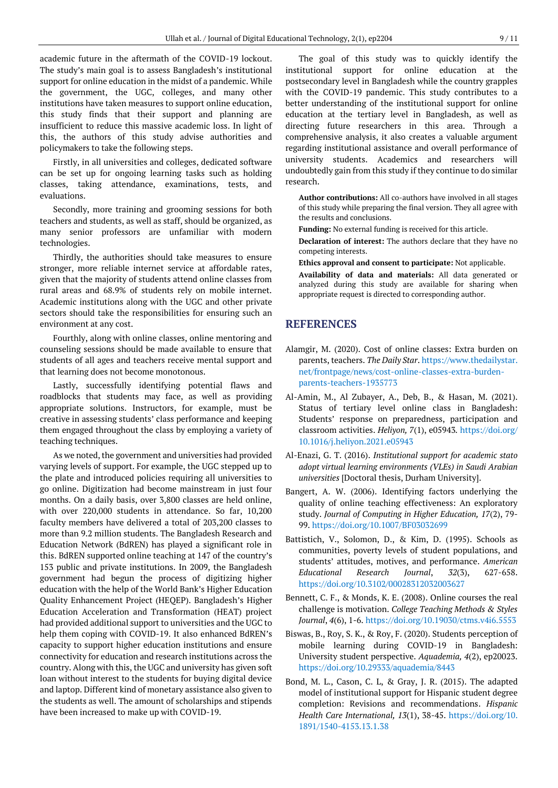academic future in the aftermath of the COVID-19 lockout. The study's main goal is to assess Bangladesh's institutional support for online education in the midst of a pandemic. While the government, the UGC, colleges, and many other institutions have taken measures to support online education, this study finds that their support and planning are insufficient to reduce this massive academic loss. In light of this, the authors of this study advise authorities and policymakers to take the following steps.

Firstly, in all universities and colleges, dedicated software can be set up for ongoing learning tasks such as holding classes, taking attendance, examinations, tests, and evaluations.

Secondly, more training and grooming sessions for both teachers and students, as well as staff, should be organized, as many senior professors are unfamiliar with modern technologies.

Thirdly, the authorities should take measures to ensure stronger, more reliable internet service at affordable rates, given that the majority of students attend online classes from rural areas and 68.9% of students rely on mobile internet. Academic institutions along with the UGC and other private sectors should take the responsibilities for ensuring such an environment at any cost.

Fourthly, along with online classes, online mentoring and counseling sessions should be made available to ensure that students of all ages and teachers receive mental support and that learning does not become monotonous.

Lastly, successfully identifying potential flaws and roadblocks that students may face, as well as providing appropriate solutions. Instructors, for example, must be creative in assessing students' class performance and keeping them engaged throughout the class by employing a variety of teaching techniques.

As we noted, the government and universities had provided varying levels of support. For example, the UGC stepped up to the plate and introduced policies requiring all universities to go online. Digitization had become mainstream in just four months. On a daily basis, over 3,800 classes are held online, with over 220,000 students in attendance. So far, 10,200 faculty members have delivered a total of 203,200 classes to more than 9.2 million students. The Bangladesh Research and Education Network (BdREN) has played a significant role in this. BdREN supported online teaching at 147 of the country's 153 public and private institutions. In 2009, the Bangladesh government had begun the process of digitizing higher education with the help of the World Bank's Higher Education Quality Enhancement Project (HEQEP). Bangladesh's Higher Education Acceleration and Transformation (HEAT) project had provided additional support to universities and the UGC to help them coping with COVID-19. It also enhanced BdREN's capacity to support higher education institutions and ensure connectivity for education and research institutions across the country. Along with this, the UGC and university has given soft loan without interest to the students for buying digital device and laptop. Different kind of monetary assistance also given to the students as well. The amount of scholarships and stipends have been increased to make up with COVID-19.

The goal of this study was to quickly identify the institutional support for online education at the postsecondary level in Bangladesh while the country grapples with the COVID-19 pandemic. This study contributes to a better understanding of the institutional support for online education at the tertiary level in Bangladesh, as well as directing future researchers in this area. Through a comprehensive analysis, it also creates a valuable argument regarding institutional assistance and overall performance of university students. Academics and researchers will undoubtedly gain from this study if they continue to do similar research.

**Author contributions:** All co-authors have involved in all stages of this study while preparing the final version. They all agree with the results and conclusions.

**Funding:** No external funding is received for this article.

**Declaration of interest:** The authors declare that they have no competing interests.

**Ethics approval and consent to participate:** Not applicable. **Availability of data and materials:** All data generated or analyzed during this study are available for sharing when appropriate request is directed to corresponding author.

# **REFERENCES**

- Alamgir, M. (2020). Cost of online classes: Extra burden on parents, teachers. *The Daily Star*[. https://www.thedailystar.](https://www.thedailystar.net/frontpage/news/cost-online-classes-extra-burden-parents-teachers-1935773) [net/frontpage/news/cost-online-classes-extra-burden](https://www.thedailystar.net/frontpage/news/cost-online-classes-extra-burden-parents-teachers-1935773)[parents-teachers-1935773](https://www.thedailystar.net/frontpage/news/cost-online-classes-extra-burden-parents-teachers-1935773)
- Al-Amin, M., Al Zubayer, A., Deb, B., & Hasan, M. (2021). Status of tertiary level online class in Bangladesh: Students' response on preparedness, participation and classroom activities. *Heliyon, 7*(1), e05943*.* [https://doi.org/](https://doi.org/10.1016/j.heliyon.2021.e05943) [10.1016/j.heliyon.2021.e05943](https://doi.org/10.1016/j.heliyon.2021.e05943)
- Al-Enazi, G. T. (2016). *Institutional support for academic stato adopt virtual learning environments (VLEs) in Saudi Arabian universities* [Doctoral thesis, Durham University].
- Bangert, A. W. (2006). Identifying factors underlying the quality of online teaching effectiveness: An exploratory study. *Journal of Computing in Higher Education, 17*(2), 79- 99. <https://doi.org/10.1007/BF03032699>
- Battistich, V., Solomon, D., & Kim, D. (1995). Schools as communities, poverty levels of student populations, and students' attitudes, motives, and performance. *American Educational Research Journal*, *32*(3), 627-658. <https://doi.org/10.3102/00028312032003627>
- Bennett, C. F., & Monds, K. E. (2008). Online courses the real challenge is motivation. *College Teaching Methods & Styles Journal*, *4*(6), 1-6. <https://doi.org/10.19030/ctms.v4i6.5553>
- Biswas, B., Roy, S. K., & Roy, F. (2020). Students perception of mobile learning during COVID-19 in Bangladesh: University student perspective. *Aquademia, 4*(2), ep20023. <https://doi.org/10.29333/aquademia/8443>
- Bond, M. L., Cason, C. L, & Gray, J. R. (2015). The adapted model of institutional support for Hispanic student degree completion: Revisions and recommendations. *Hispanic Health Care International, 13*(1), 38-45. [https://doi.org/10.](https://doi.org/10.1891/1540-4153.13.1.38) [1891/1540-4153.13.1.38](https://doi.org/10.1891/1540-4153.13.1.38)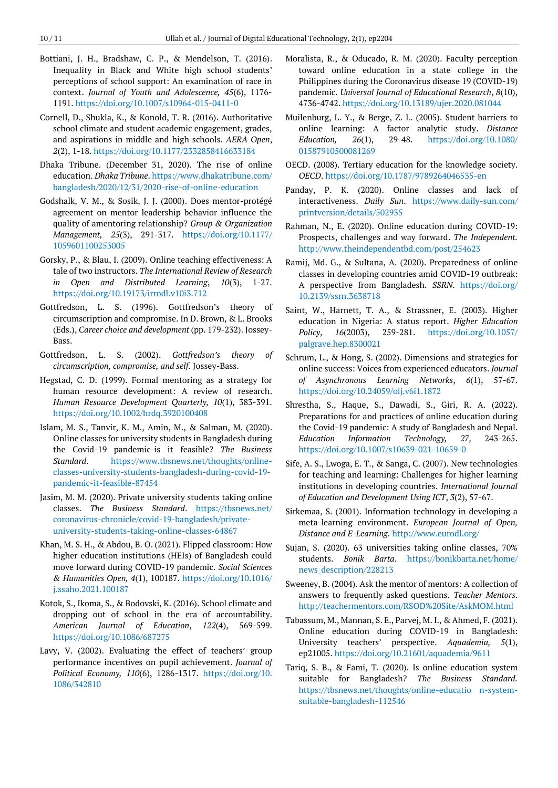- Bottiani, J. H., Bradshaw, C. P., & Mendelson, T. (2016). Inequality in Black and White high school students' perceptions of school support: An examination of race in context. *Journal of Youth and Adolescence, 45*(6), 1176- 1191. <https://doi.org/10.1007/s10964-015-0411-0>
- Cornell, D., Shukla, K., & Konold, T. R. (2016). Authoritative school climate and student academic engagement, grades, and aspirations in middle and high schools. *AERA Open*, *2*(2), 1-18.<https://doi.org/10.1177/2332858416633184>
- Dhaka Tribune. (December 31, 2020). The rise of online education. *Dhaka Tribune*[. https://www.dhakatribune.com/](https://www.dhakatribune.com/bangladesh/2020/12/31/2020-rise-of-online-education) [bangladesh/2020/12/31/2020-rise-of-online-education](https://www.dhakatribune.com/bangladesh/2020/12/31/2020-rise-of-online-education)
- Godshalk, V. M., & Sosik, J. J. (2000). Does mentor-protégé agreement on mentor leadership behavior influence the quality of amentoring relationship? *Group & Organization Management, 25*(3), 291-317. [https://doi.org/10.1177/](https://doi.org/10.1177/1059601100253005) [1059601100253005](https://doi.org/10.1177/1059601100253005)
- Gorsky, P., & Blau, I. (2009). Online teaching effectiveness: A tale of two instructors. *The International Review of Research in Open and Distributed Learning*, *10*(3), 1-27. <https://doi.org/10.19173/irrodl.v10i3.712>
- Gottfredson, L. S. (1996). Gottfredson's theory of circumscription and compromise. In D. Brown, & L. Brooks (Eds.), *Career choice and development* (pp. 179-232). Jossey-Bass.
- Gottfredson, L. S. (2002). *Gottfredson's theory of circumscription, compromise, and self.* Jossey-Bass.
- Hegstad, C. D. (1999). Formal mentoring as a strategy for human resource development: A review of research. *Human Resource Development Quarterly, 10*(1), 383-391. <https://doi.org/10.1002/hrdq.3920100408>
- Islam, M. S., Tanvir, K. M., Amin, M., & Salman, M. (2020). Online classes for university students in Bangladesh during the Covid-19 pandemic-is it feasible? *The Business Standard*. [https://www.tbsnews.net/thoughts/online](https://www.tbsnews.net/thoughts/online-classes-university-students-bangladesh-during-covid-19-pandemic-it-feasible-87454)[classes-university-students-bangladesh-during-covid-19](https://www.tbsnews.net/thoughts/online-classes-university-students-bangladesh-during-covid-19-pandemic-it-feasible-87454) [pandemic-it-feasible-87454](https://www.tbsnews.net/thoughts/online-classes-university-students-bangladesh-during-covid-19-pandemic-it-feasible-87454)
- Jasim, M. M. (2020). Private university students taking online classes. *The Business Standard*. [https://tbsnews.net/](https://tbsnews.net/coronavirus-chronicle/covid-19-bangladesh/private-university-students-taking-online-classes-64867) [coronavirus-chronicle/covid-19-bangladesh/private](https://tbsnews.net/coronavirus-chronicle/covid-19-bangladesh/private-university-students-taking-online-classes-64867)[university-students-taking-online-classes-64867](https://tbsnews.net/coronavirus-chronicle/covid-19-bangladesh/private-university-students-taking-online-classes-64867)
- Khan, M. S. H., & Abdou, B. O. (2021). Flipped classroom: How higher education institutions (HEIs) of Bangladesh could move forward during COVID-19 pandemic. *Social Sciences & Humanities Open, 4*(1), 100187. [https://doi.org/10.1016/](https://doi.org/10.1016/j.ssaho.2021.100187) [j.ssaho.2021.100187](https://doi.org/10.1016/j.ssaho.2021.100187)
- Kotok, S., Ikoma, S., & Bodovski, K. (2016). School climate and dropping out of school in the era of accountability. *American Journal of Education*, *122*(4), 569-599. <https://doi.org/10.1086/687275>
- Lavy, V. (2002). Evaluating the effect of teachers' group performance incentives on pupil achievement. *Journal of Political Economy, 110*(6), 1286-1317. [https://doi.org/10.](https://doi.org/10.1086/342810) [1086/342810](https://doi.org/10.1086/342810)
- Moralista, R., & Oducado, R. M. (2020). Faculty perception toward online education in a state college in the Philippines during the Coronavirus disease 19 (COVID-19) pandemic. *Universal Journal of Educational Research*, *8*(10), 4736-4742.<https://doi.org/10.13189/ujer.2020.081044>
- Muilenburg, L. Y., & Berge, Z. L. (2005). Student barriers to online learning: A factor analytic study. *Distance Education, 26*(1), 29-48. [https://doi.org/10.1080/](https://doi.org/10.1080/01587910500081269) [01587910500081269](https://doi.org/10.1080/01587910500081269)
- OECD. (2008). Tertiary education for the knowledge society. *OECD*. <https://doi.org/10.1787/9789264046535-en>
- Panday, P. K. (2020). Online classes and lack of interactiveness. *Daily Sun*. [https://www.daily-sun.com/](https://www.daily-sun.com/printversion/details/502935) [printversion/details/502935](https://www.daily-sun.com/printversion/details/502935)
- Rahman, N., E. (2020). Online education during COVID-19: Prospects, challenges and way forward. *The Independent.* <http://www.theindependentbd.com/post/254623>
- Ramij, Md. G., & Sultana, A. (2020). Preparedness of online classes in developing countries amid COVID-19 outbreak: A perspective from Bangladesh. *SSRN*. [https://doi.org/](https://doi.org/10.2139/ssrn.3638718) [10.2139/ssrn.3638718](https://doi.org/10.2139/ssrn.3638718)
- Saint, W., Harnett, T. A., & Strassner, E. (2003). Higher education in Nigeria: A status report. *Higher Education Policy*, *16*(2003), 259-281. [https://doi.org/10.1057/](https://doi.org/10.1057/palgrave.hep.8300021) [palgrave.hep.8300021](https://doi.org/10.1057/palgrave.hep.8300021)
- Schrum, L., & Hong, S. (2002). Dimensions and strategies for online success: Voices from experienced educators. *Journal of Asynchronous Learning Networks*, *6*(1), 57-67. <https://doi.org/10.24059/olj.v6i1.1872>
- Shrestha, S., Haque, S., Dawadi, S., Giri, R. A. (2022). Preparations for and practices of online education during the Covid-19 pandemic: A study of Bangladesh and Nepal. *Education Information Technology, 27,* 243-265. <https://doi.org/10.1007/s10639-021-10659-0>
- Sife, A. S., Lwoga, E. T., & Sanga, C. (2007). New technologies for teaching and learning: Challenges for higher learning institutions in developing countries. *International Journal of Education and Development Using ICT*, *3*(2), 57-67.
- Sirkemaa, S. (2001). Information technology in developing a meta-learning environment. *European Journal of Open, Distance and E-Learning.* <http://www.eurodl.org/>
- Sujan, S. (2020). 63 universities taking online classes, 70% students. *Bonik Barta*. [https://bonikbarta.net/home/](https://bonikbarta.net/home/news_description/228213) news description/228213
- Sweeney, B. (2004). Ask the mentor of mentors: A collection of answers to frequently asked questions. *Teacher Mentors*. <http://teachermentors.com/RSOD%20Site/AskMOM.html>
- Tabassum, M., Mannan, S. E., Parvej, M. I., & Ahmed, F. (2021). Online education during COVID-19 in Bangladesh: University teachers' perspective. *Aquademia, 5*(1), ep21005[. https://doi.org/10.21601/aquademia/9611](https://doi.org/10.21601/aquademia/9611)
- Tariq, S. B., & Fami, T. (2020). Is online education system suitable for Bangladesh? *The Business Standard.* [https://tbsnews.net/thoughts/online-educatio n-system](https://tbsnews.net/thoughts/online-educatio%20n-system-suitable-bangladesh-112546)[suitable-bangladesh-112546](https://tbsnews.net/thoughts/online-educatio%20n-system-suitable-bangladesh-112546)